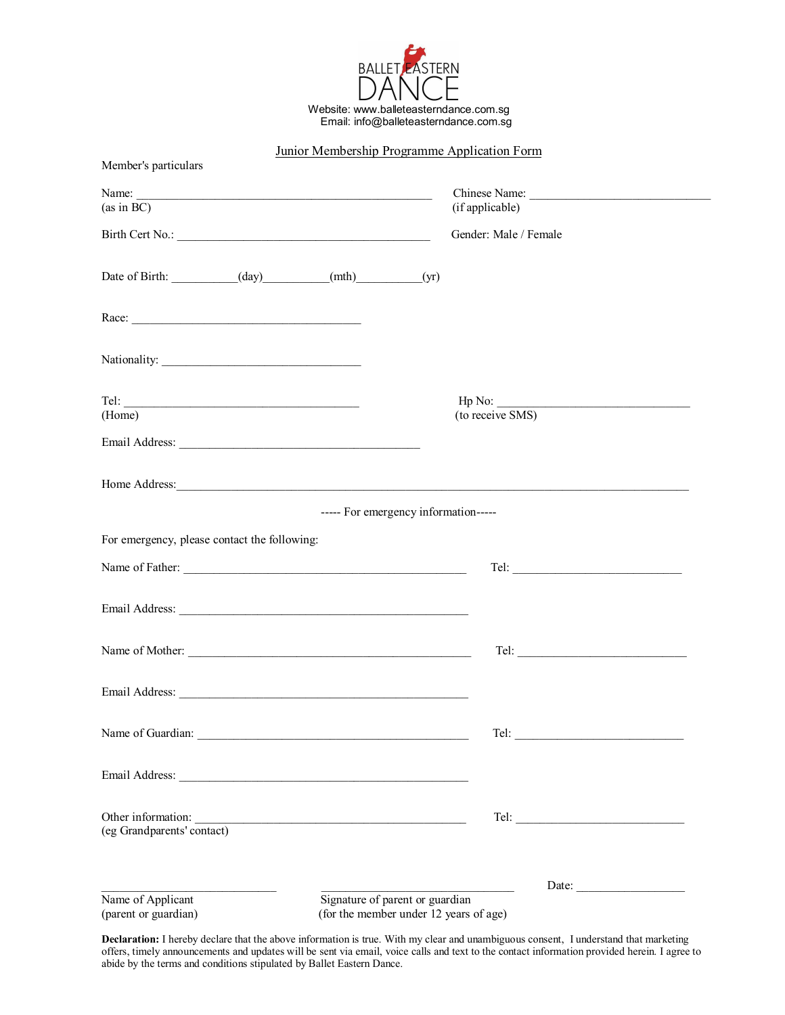

| Member's particulars                                          | Junior Membership Programme Application Form                              |                                  |
|---------------------------------------------------------------|---------------------------------------------------------------------------|----------------------------------|
| (as in BC)                                                    |                                                                           | Chinese Name:<br>(if applicable) |
|                                                               |                                                                           | Gender: Male / Female            |
| Date of Birth: ____________(day)__________(mth)__________(yr) |                                                                           |                                  |
|                                                               |                                                                           |                                  |
|                                                               |                                                                           |                                  |
| $\begin{tabular}{c} \bf Tel: \end{tabular}$                   |                                                                           | $\mathsf{Hp} \ \mathsf{No:}$     |
| (Home)                                                        |                                                                           | (to receive SMS)                 |
|                                                               |                                                                           |                                  |
|                                                               |                                                                           |                                  |
|                                                               | ----- For emergency information-----                                      |                                  |
| For emergency, please contact the following:                  |                                                                           |                                  |
|                                                               |                                                                           |                                  |
|                                                               |                                                                           |                                  |
| Name of Mother:                                               |                                                                           |                                  |
|                                                               |                                                                           |                                  |
|                                                               |                                                                           |                                  |
|                                                               |                                                                           |                                  |
| Other information:<br>(eg Grandparents' contact)              |                                                                           |                                  |
|                                                               |                                                                           |                                  |
| Name of Applicant<br>(parent or guardian)                     | Signature of parent or guardian<br>(for the member under 12 years of age) | Date:                            |

**Declaration:** I hereby declare that the above information is true. With my clear and unambiguous consent, I understand that marketing offers, timely announcements and updates will be sent via email, voice calls and text to the contact information provided herein. I agree to abide by the terms and conditions stipulated by Ballet Eastern Dance.